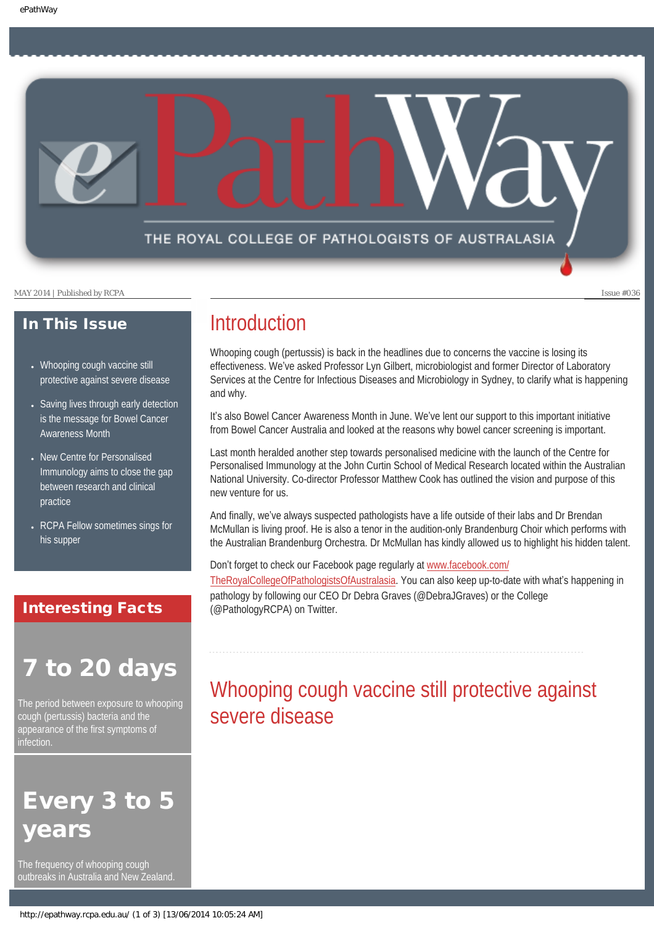THE ROYAL COLLEGE OF PATHOLOGISTS OF AUSTRALASIA

MAY 2014 | Published by RCPA Issue #036

### In This Issue

- [Whooping cough vaccine still](#page-0-0) [protective against severe disease](#page-0-0)
- [Saving lives through early detection](#page-1-0) [is the message for Bowel Cancer](#page-1-0) [Awareness Month](#page-1-0)
- [New Centre for Personalised](#page-2-0) [Immunology aims to close the gap](#page-2-0) [between research and clinical](#page-2-0) [practice](#page-2-0)
- RCPA Fellow sometimes sings for [his supper](#page-2-1)

### Interesting Facts

# to 20 days

<span id="page-0-0"></span>The period between exposure to whooping cough (pertussis) bacteria and the appearance of the first symptoms of infection.

# Every 3 to 5 *r*ears

The frequency of whooping cough outbreaks in Australia and New Zealand.

### **Introduction**

Whooping cough (pertussis) is back in the headlines due to concerns the vaccine is losing its effectiveness. We've asked Professor Lyn Gilbert, microbiologist and former Director of Laboratory Services at the Centre for Infectious Diseases and Microbiology in Sydney, to clarify what is happening and why.

It's also Bowel Cancer Awareness Month in June. We've lent our support to this important initiative from Bowel Cancer Australia and looked at the reasons why bowel cancer screening is important.

Last month heralded another step towards personalised medicine with the launch of the Centre for Personalised Immunology at the John Curtin School of Medical Research located within the Australian National University. Co-director Professor Matthew Cook has outlined the vision and purpose of this new venture for us.

And finally, we've always suspected pathologists have a life outside of their labs and Dr Brendan McMullan is living proof. He is also a tenor in the audition-only Brandenburg Choir which performs with the Australian Brandenburg Orchestra. Dr McMullan has kindly allowed us to highlight his hidden talent.

Don't forget to check our Facebook page regularly at [www.facebook.com/](http://www.facebook.com/TheRoyalCollegeOfPathologistsOfAustralasia)

[TheRoyalCollegeOfPathologistsOfAustralasia](http://www.facebook.com/TheRoyalCollegeOfPathologistsOfAustralasia). You can also keep up-to-date with what's happening in pathology by following our CEO Dr Debra Graves (@DebraJGraves) or the College (@PathologyRCPA) on Twitter.

### Whooping cough vaccine still protective against severe disease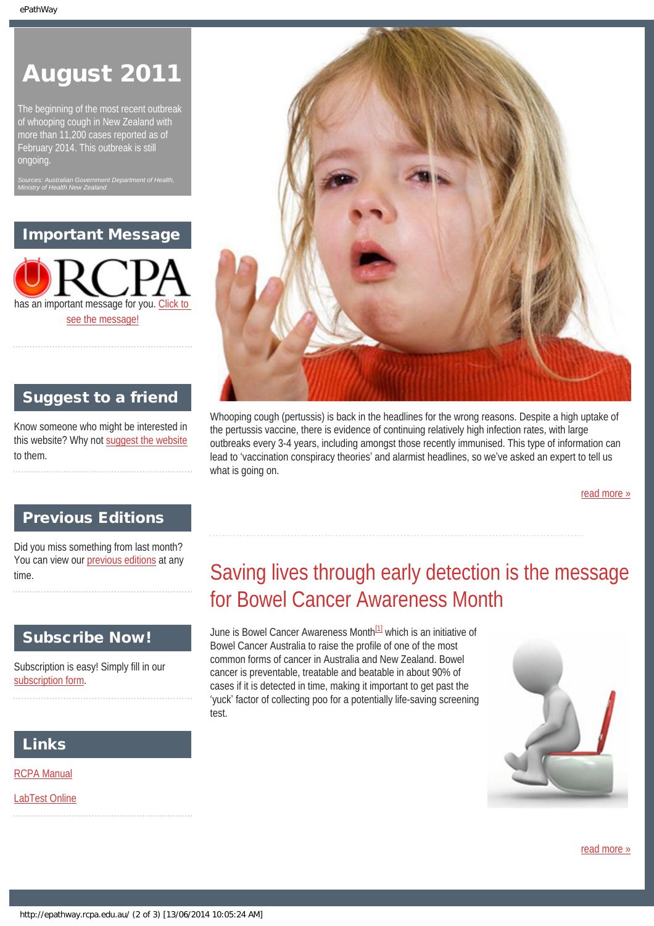# August 2011

The beginning of the most recent outbreak of whooping cough in New Zealand with more than 11,200 cases reported as of February 2014. This outbreak is still ongoing.

*Sources: Australian Government Department of Health, Ministry of Health New Zealand*

Important Message

has an important message for you. [Click to](#page-3-0)  [see the message!](#page-3-0)



### Suggest to a friend

Know someone who might be interested in this website? Why not [suggest the website](mailto:?Subject=I%20think%20you%20should%20read%20this%20Newsletter=
http://epathway.rcpa.edu.au/index.html) to them.

Whooping cough (pertussis) is back in the headlines for the wrong reasons. Despite a high uptake of the pertussis vaccine, there is evidence of continuing relatively high infection rates, with large outbreaks every 3-4 years, including amongst those recently immunised. This type of information can lead to 'vaccination conspiracy theories' and alarmist headlines, so we've asked an expert to tell us what is going on.

[read more »](#page-6-0)

### Previous Editions

<span id="page-1-0"></span>Did you miss something from last month? You can view our [previous editions](#page-4-0) at any time.

### Subscribe Now!

Subscription is easy! Simply fill in our [subscription form](http://epathway.rcpa.edu.au/subscription.html).

### Links

[RCPA Manual](http://rcpamanual.edu.au/)

[LabTest Online](http://www.labtestsonline.org.au/)

# Saving lives through early detection is the message for Bowel Cancer Awareness Month

June is Bowel Cancer Awareness Month<sup>[1]</sup> which is an initiative of Bowel Cancer Australia to raise the profile of one of the most common forms of cancer in Australia and New Zealand. Bowel cancer is preventable, treatable and beatable in about 90% of cases if it is detected in time, making it important to get past the 'yuck' factor of collecting poo for a potentially life-saving screening test.



[read more »](#page-8-0)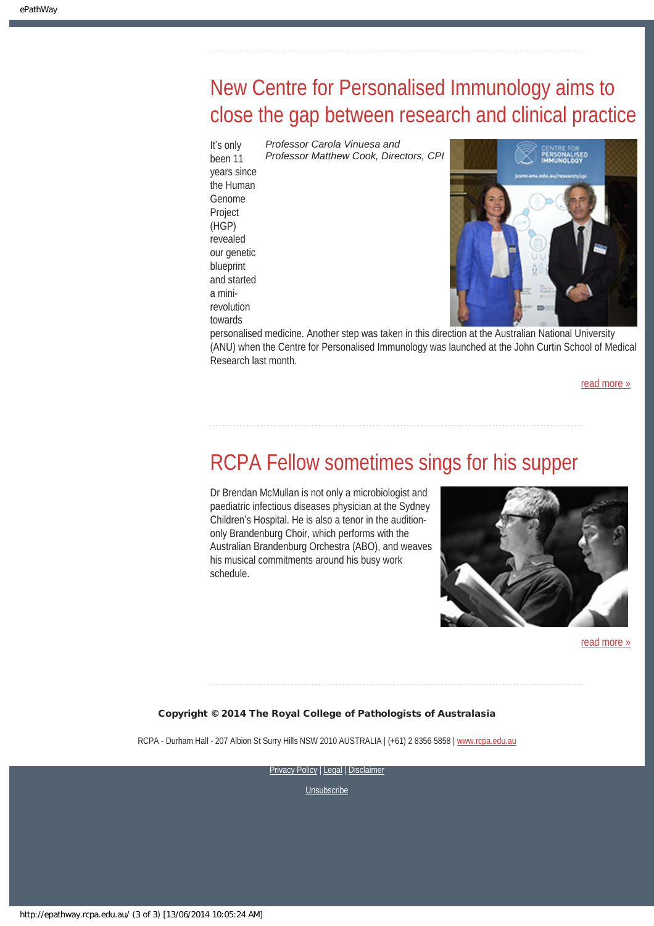# <span id="page-2-0"></span>New Centre for Personalised Immunology aims to close the gap between research and clinical practice

It's only been 11 years since the Human Genome Project (HGP) revealed our genetic blueprint and started a minirevolution towards

*Professor Matthew Cook, Directors, CPI*

personalised medicine. Another step was taken in this direction at the Australian National University (ANU) when the Centre for Personalised Immunology was launched at the John Curtin School of Medical Research last month.

[read more »](#page-10-0)

### <span id="page-2-1"></span>RCPA Fellow sometimes sings for his supper

Dr Brendan McMullan is not only a microbiologist and paediatric infectious diseases physician at the Sydney Children's Hospital. He is also a tenor in the auditiononly Brandenburg Choir, which performs with the Australian Brandenburg Orchestra (ABO), and weaves his musical commitments around his busy work schedule.

*Professor Carola Vinuesa and* 



[read more »](#page-12-0)

#### Copyright © 2014 The Royal College of Pathologists of Australasia

RCPA - Durham Hall - 207 Albion St Surry Hills NSW 2010 AUSTRALIA | (+61) 2 8356 5858 | [www.rcpa.edu.au](http://www.rcpa.edu.au/)

**[Privacy Policy](http://www.rcpa.edu.au/Content-Library/Privacy.aspx) | [Legal](http://www.rcpa.edu.au/Legal.aspx) | Disclaimer**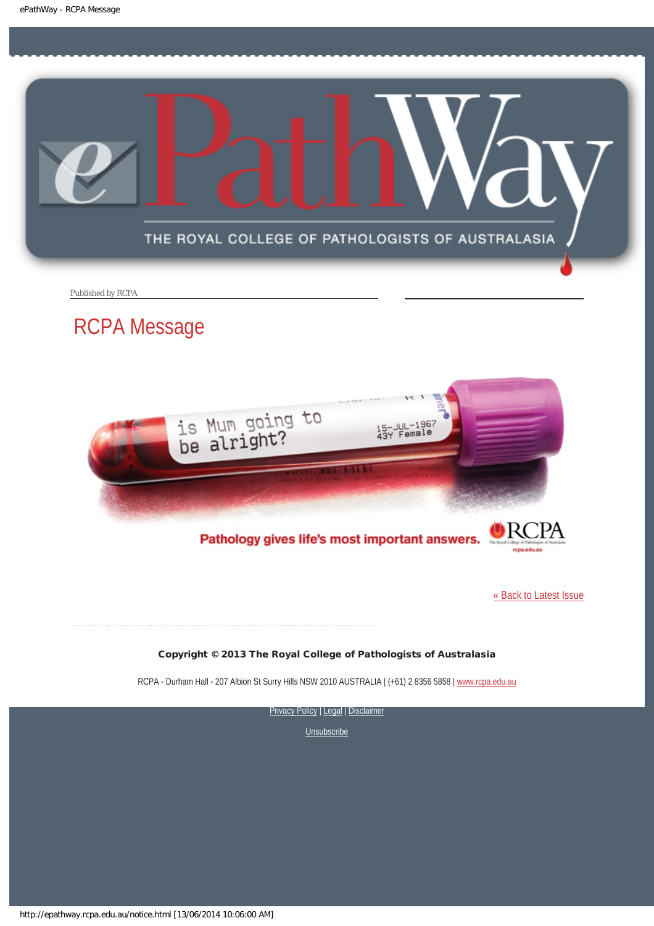<span id="page-3-0"></span>

Published by RCPA

### RCPA Message



Pathology gives life's most important answers.

[« Back to Latest Issue](http://epathway.rcpa.edu.au/index.html)

#### Copyright © 2013 The Royal College of Pathologists of Australasia

RCPA - Durham Hall - 207 Albion St Surry Hills NSW 2010 AUSTRALIA | (+61) 2 8356 5858 | [www.rcpa.edu.au](http://www.rcpa.edu.au/)

[Privacy Policy](http://www.rcpa.edu.au/Content-Library/Privacy.aspx) | [Legal](http://www.rcpa.edu.au/Legal.aspx) | Disclaimer

**[Unsubscribe](http://epathway.rcpa.edu.au/subscription.html)** 

http://epathway.rcpa.edu.au/notice.html [13/06/2014 10:06:00 AM]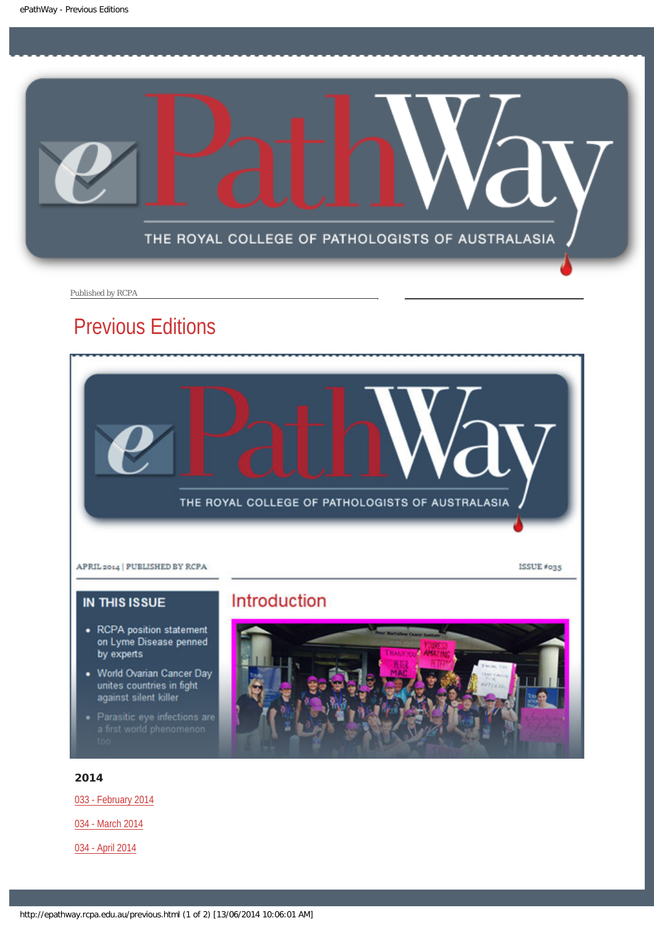<span id="page-4-0"></span>

Published by RCPA

### Previous Editions



### **IN THIS ISSUE**

- RCPA position statement on Lyme Disease penned by experts
- World Ovarian Cancer Day unites countries in fight<br>against silent killer
- Parasitic eye infections are<br>a first world phenomenon

#### 2014

[033 - February 2014](http://epathway.rcpa.edu.au/previous/033_0214.pdf)

[034 - March 2014](http://epathway.rcpa.edu.au/previous/034_0314.pdf)

[034 - April 2014](http://epathway.rcpa.edu.au/previous/035_0414.pdf)

### Introduction

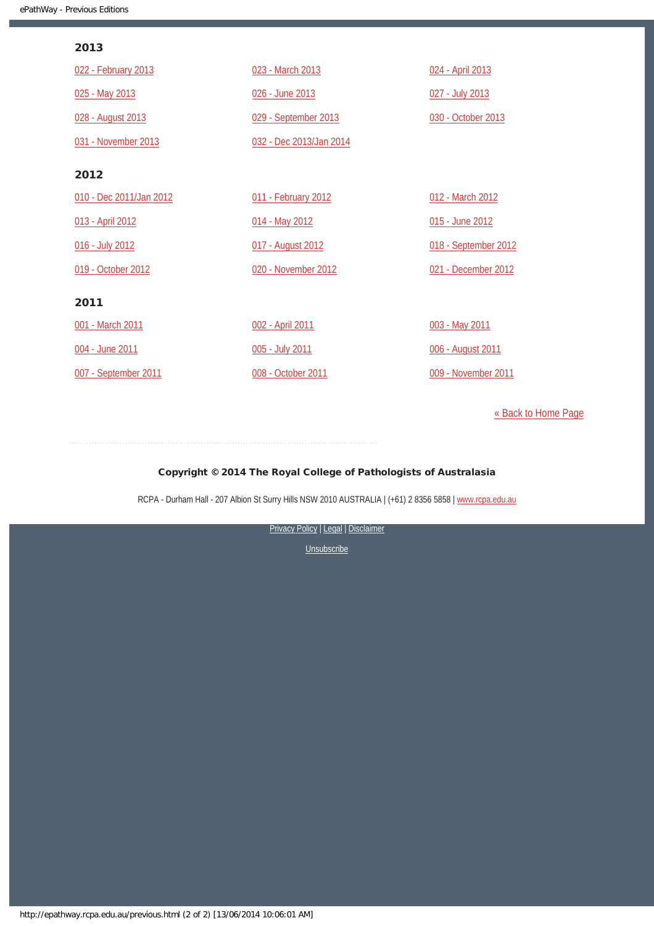#### 2013

| 022 - February 2013     | 023 - March 2013        | 024 - April 2013     |
|-------------------------|-------------------------|----------------------|
| 025 - May 2013          | 026 - June 2013         | 027 - July 2013      |
| 028 - August 2013       | 029 - September 2013    | 030 - October 2013   |
| 031 - November 2013     | 032 - Dec 2013/Jan 2014 |                      |
| 2012                    |                         |                      |
| 010 - Dec 2011/Jan 2012 | 011 - February 2012     | 012 - March 2012     |
| 013 - April 2012        | 014 - May 2012          | 015 - June 2012      |
| 016 - July 2012         | 017 - August 2012       | 018 - September 2012 |
| 019 - October 2012      | 020 - November 2012     | 021 - December 2012  |
| 2011                    |                         |                      |
| 001 - March 2011        | 002 - April 2011        | 003 - May 2011       |
| 004 - June 2011         | 005 - July 2011         | 006 - August 2011    |
| 007 - September 2011    | 008 - October 2011      | 009 - November 2011  |

[« Back to Home Page](http://epathway.rcpa.edu.au/index.html)

#### Copyright © 2014 The Royal College of Pathologists of Australasia

RCPA - Durham Hall - 207 Albion St Surry Hills NSW 2010 AUSTRALIA | (+61) 2 8356 5858 | [www.rcpa.edu.au](http://www.rcpa.edu.au/)

[Privacy Policy](http://www.rcpa.edu.au/Content-Library/Privacy.aspx) | [Legal](http://www.rcpa.edu.au/Legal.aspx) | Disclaimer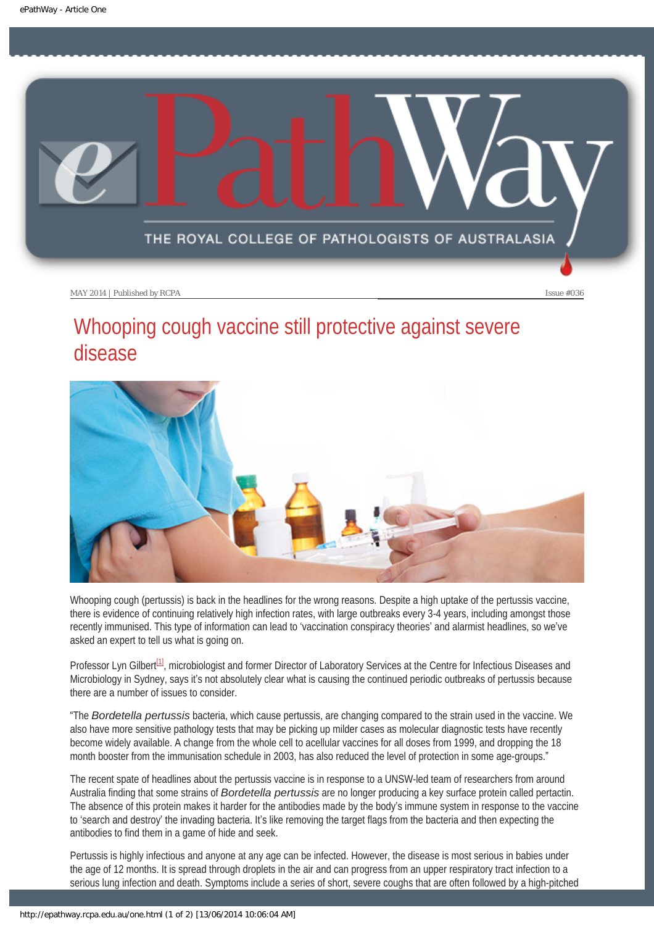<span id="page-6-0"></span>

## Whooping cough vaccine still protective against severe disease



Whooping cough (pertussis) is back in the headlines for the wrong reasons. Despite a high uptake of the pertussis vaccine, there is evidence of continuing relatively high infection rates, with large outbreaks every 3-4 years, including amongst those recently immunised. This type of information can lead to 'vaccination conspiracy theories' and alarmist headlines, so we've asked an expert to tell us what is going on.

<span id="page-6-1"></span>Professor Lyn Gilbert<sup>[1]</sup>, microbiologist and former Director of Laboratory Services at the Centre for Infectious Diseases and Microbiology in Sydney, says it's not absolutely clear what is causing the continued periodic outbreaks of pertussis because there are a number of issues to consider.

"The *Bordetella pertussis* bacteria, which cause pertussis, are changing compared to the strain used in the vaccine. We also have more sensitive pathology tests that may be picking up milder cases as molecular diagnostic tests have recently become widely available. A change from the whole cell to acellular vaccines for all doses from 1999, and dropping the 18 month booster from the immunisation schedule in 2003, has also reduced the level of protection in some age-groups."

The recent spate of headlines about the pertussis vaccine is in response to a UNSW-led team of researchers from around Australia finding that some strains of *Bordetella pertussis* are no longer producing a key surface protein called pertactin. The absence of this protein makes it harder for the antibodies made by the body's immune system in response to the vaccine to 'search and destroy' the invading bacteria. It's like removing the target flags from the bacteria and then expecting the antibodies to find them in a game of hide and seek.

Pertussis is highly infectious and anyone at any age can be infected. However, the disease is most serious in babies under the age of 12 months. It is spread through droplets in the air and can progress from an upper respiratory tract infection to a serious lung infection and death. Symptoms include a series of short, severe coughs that are often followed by a high-pitched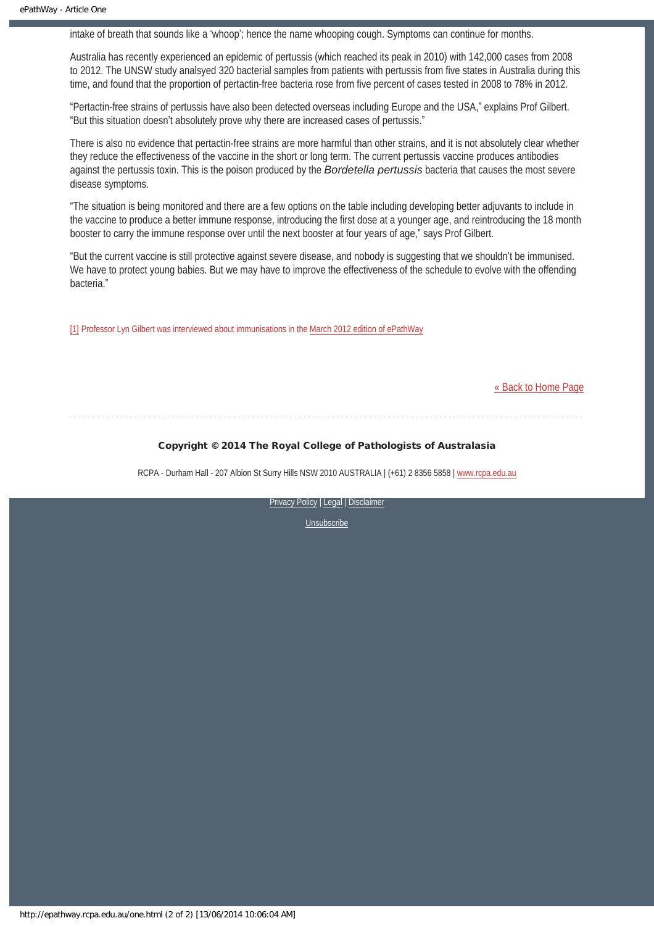intake of breath that sounds like a 'whoop'; hence the name whooping cough. Symptoms can continue for months.

Australia has recently experienced an epidemic of pertussis (which reached its peak in 2010) with 142,000 cases from 2008 to 2012. The UNSW study analsyed 320 bacterial samples from patients with pertussis from five states in Australia during this time, and found that the proportion of pertactin-free bacteria rose from five percent of cases tested in 2008 to 78% in 2012.

"Pertactin-free strains of pertussis have also been detected overseas including Europe and the USA," explains Prof Gilbert. "But this situation doesn't absolutely prove why there are increased cases of pertussis."

There is also no evidence that pertactin-free strains are more harmful than other strains, and it is not absolutely clear whether they reduce the effectiveness of the vaccine in the short or long term. The current pertussis vaccine produces antibodies against the pertussis toxin. This is the poison produced by the *Bordetella pertussis* bacteria that causes the most severe disease symptoms.

"The situation is being monitored and there are a few options on the table including developing better adjuvants to include in the vaccine to produce a better immune response, introducing the first dose at a younger age, and reintroducing the 18 month booster to carry the immune response over until the next booster at four years of age," says Prof Gilbert.

"But the current vaccine is still protective against severe disease, and nobody is suggesting that we shouldn't be immunised. We have to protect young babies. But we may have to improve the effectiveness of the schedule to evolve with the offending bacteria."

<span id="page-7-0"></span>[\[1\]](#page-6-1) Professor Lyn Gilbert was interviewed about immunisations in the [March 2012 edition of ePathWay](http://www.rcpa.edu.au/getattachment/31acfb85-9f32-4d6f-8397-4b38825f8e4a/ePathway-Issue-028.aspx)

#### [« Back to Home Page](http://epathway.rcpa.edu.au/index.html)

#### Copyright © 2014 The Royal College of Pathologists of Australasia

RCPA - Durham Hall - 207 Albion St Surry Hills NSW 2010 AUSTRALIA | (+61) 2 8356 5858 | [www.rcpa.edu.au](http://www.rcpa.edu.au/)

[Privacy Policy](http://www.rcpa.edu.au/Content-Library/Privacy.aspx) | [Legal](http://www.rcpa.edu.au/Legal.aspx) | [Disclaimer](http://www.rcpa.edu.au/Disclaimer.aspx)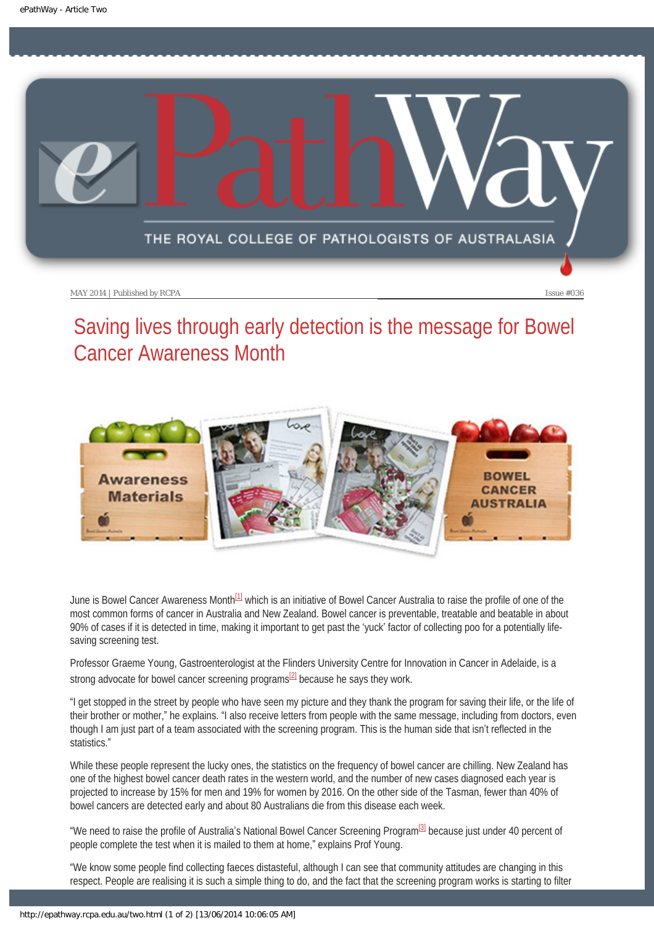<span id="page-8-0"></span>

# Saving lives through early detection is the message for Bowel Cancer Awareness Month



<span id="page-8-1"></span>June is Bowel Cancer Awareness Month<sup>[1]</sup> which is an initiative of Bowel Cancer Australia to raise the profile of one of the most common forms of cancer in Australia and New Zealand. Bowel cancer is preventable, treatable and beatable in about 90% of cases if it is detected in time, making it important to get past the 'yuck' factor of collecting poo for a potentially lifesaving screening test.

Professor Graeme Young, Gastroenterologist at the Flinders University Centre for Innovation in Cancer in Adelaide, is a strong advocate for bowel cancer screening programs $^{[2]}$  because he says they work.

<span id="page-8-2"></span>"I get stopped in the street by people who have seen my picture and they thank the program for saving their life, or the life of their brother or mother," he explains. "I also receive letters from people with the same message, including from doctors, even though I am just part of a team associated with the screening program. This is the human side that isn't reflected in the statistics."

While these people represent the lucky ones, the statistics on the frequency of bowel cancer are chilling. New Zealand has one of the highest bowel cancer death rates in the western world, and the number of new cases diagnosed each year is projected to increase by 15% for men and 19% for women by 2016. On the other side of the Tasman, fewer than 40% of bowel cancers are detected early and about 80 Australians die from this disease each week.

<span id="page-8-3"></span>"We need to raise the profile of Australia's National Bowel Cancer Screening Program<sup>[\[3\]](#page-9-2)</sup> because just under 40 percent of people complete the test when it is mailed to them at home," explains Prof Young.

"We know some people find collecting faeces distasteful, although I can see that community attitudes are changing in this respect. People are realising it is such a simple thing to do, and the fact that the screening program works is starting to filter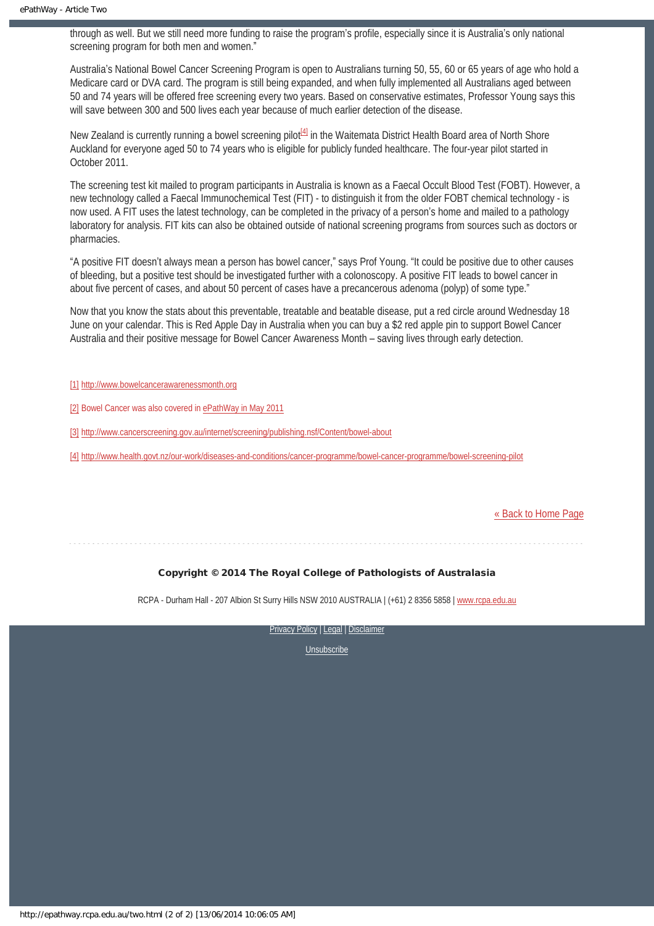through as well. But we still need more funding to raise the program's profile, especially since it is Australia's only national screening program for both men and women."

Australia's National Bowel Cancer Screening Program is open to Australians turning 50, 55, 60 or 65 years of age who hold a Medicare card or DVA card. The program is still being expanded, and when fully implemented all Australians aged between 50 and 74 years will be offered free screening every two years. Based on conservative estimates, Professor Young says this will save between 300 and 500 lives each year because of much earlier detection of the disease.

<span id="page-9-4"></span>New Zealand is currently running a bowel screening pilot<sup>[4]</sup> in the Waitemata District Health Board area of North Shore Auckland for everyone aged 50 to 74 years who is eligible for publicly funded healthcare. The four-year pilot started in October 2011.

The screening test kit mailed to program participants in Australia is known as a Faecal Occult Blood Test (FOBT). However, a new technology called a Faecal Immunochemical Test (FIT) - to distinguish it from the older FOBT chemical technology - is now used. A FIT uses the latest technology, can be completed in the privacy of a person's home and mailed to a pathology laboratory for analysis. FIT kits can also be obtained outside of national screening programs from sources such as doctors or pharmacies.

"A positive FIT doesn't always mean a person has bowel cancer," says Prof Young. "It could be positive due to other causes of bleeding, but a positive test should be investigated further with a colonoscopy. A positive FIT leads to bowel cancer in about five percent of cases, and about 50 percent of cases have a precancerous adenoma (polyp) of some type."

Now that you know the stats about this preventable, treatable and beatable disease, put a red circle around Wednesday 18 June on your calendar. This is Red Apple Day in Australia when you can buy a \$2 red apple pin to support Bowel Cancer Australia and their positive message for Bowel Cancer Awareness Month – saving lives through early detection.

- <span id="page-9-0"></span>[\[1\]](#page-8-1) [http://www.bowelcancerawarenessmonth.org](http://www.bowelcancerawarenessmonth.org/)
- <span id="page-9-1"></span>[\[2\]](#page-8-2) Bowel Cancer was also covered in [ePathWay in May 2011](http://epathway.rcpa.edu.au/previous/003_0511.pdf)
- <span id="page-9-2"></span>[\[3\]](#page-8-3) <http://www.cancerscreening.gov.au/internet/screening/publishing.nsf/Content/bowel-about>
- <span id="page-9-3"></span>[\[4\]](#page-9-4) <http://www.health.govt.nz/our-work/diseases-and-conditions/cancer-programme/bowel-cancer-programme/bowel-screening-pilot>

#### [« Back to Home Page](http://epathway.rcpa.edu.au/index.html)

#### Copyright © 2014 The Royal College of Pathologists of Australasia

RCPA - Durham Hall - 207 Albion St Surry Hills NSW 2010 AUSTRALIA | (+61) 2 8356 5858 | [www.rcpa.edu.au](http://www.rcpa.edu.au/)

[Privacy Policy](http://www.rcpa.edu.au/Content-Library/Privacy.aspx) | [Legal](http://www.rcpa.edu.au/Legal.aspx) | [Disclaimer](http://www.rcpa.edu.au/Disclaimer.aspx)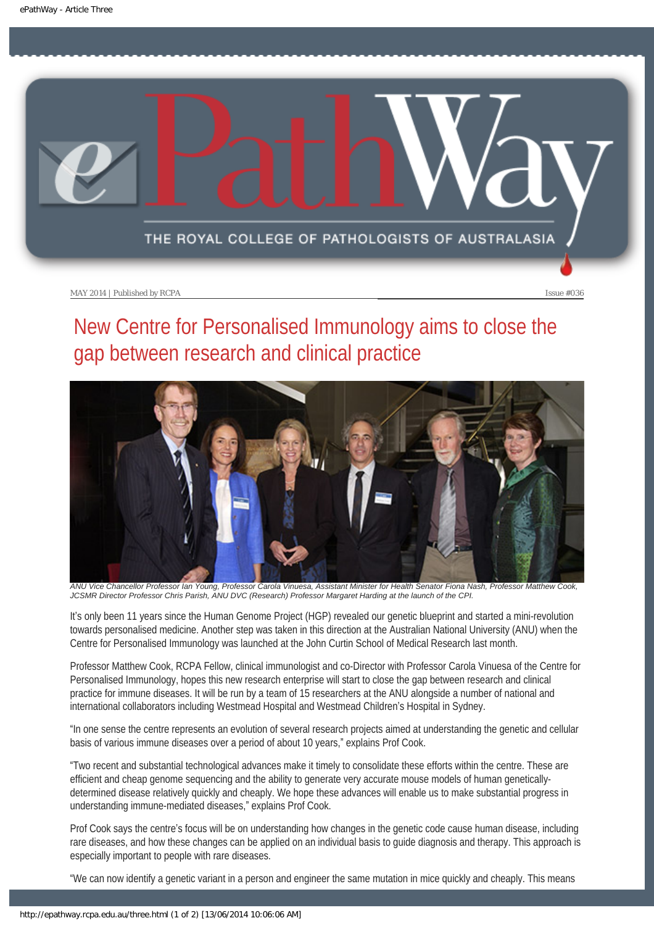<span id="page-10-0"></span>

# New Centre for Personalised Immunology aims to close the gap between research and clinical practice



*ANU Vice Chancellor Professor Ian Young, Professor Carola Vinuesa, Assistant Minister for Health Senator Fiona Nash, Professor Matthew Cook, JCSMR Director Professor Chris Parish, ANU DVC (Research) Professor Margaret Harding at the launch of the CPI.*

It's only been 11 years since the Human Genome Project (HGP) revealed our genetic blueprint and started a mini-revolution towards personalised medicine. Another step was taken in this direction at the Australian National University (ANU) when the Centre for Personalised Immunology was launched at the John Curtin School of Medical Research last month.

Professor Matthew Cook, RCPA Fellow, clinical immunologist and co-Director with Professor Carola Vinuesa of the Centre for Personalised Immunology, hopes this new research enterprise will start to close the gap between research and clinical practice for immune diseases. It will be run by a team of 15 researchers at the ANU alongside a number of national and international collaborators including Westmead Hospital and Westmead Children's Hospital in Sydney.

"In one sense the centre represents an evolution of several research projects aimed at understanding the genetic and cellular basis of various immune diseases over a period of about 10 years," explains Prof Cook.

"Two recent and substantial technological advances make it timely to consolidate these efforts within the centre. These are efficient and cheap genome sequencing and the ability to generate very accurate mouse models of human geneticallydetermined disease relatively quickly and cheaply. We hope these advances will enable us to make substantial progress in understanding immune-mediated diseases," explains Prof Cook.

Prof Cook says the centre's focus will be on understanding how changes in the genetic code cause human disease, including rare diseases, and how these changes can be applied on an individual basis to guide diagnosis and therapy. This approach is especially important to people with rare diseases.

"We can now identify a genetic variant in a person and engineer the same mutation in mice quickly and cheaply. This means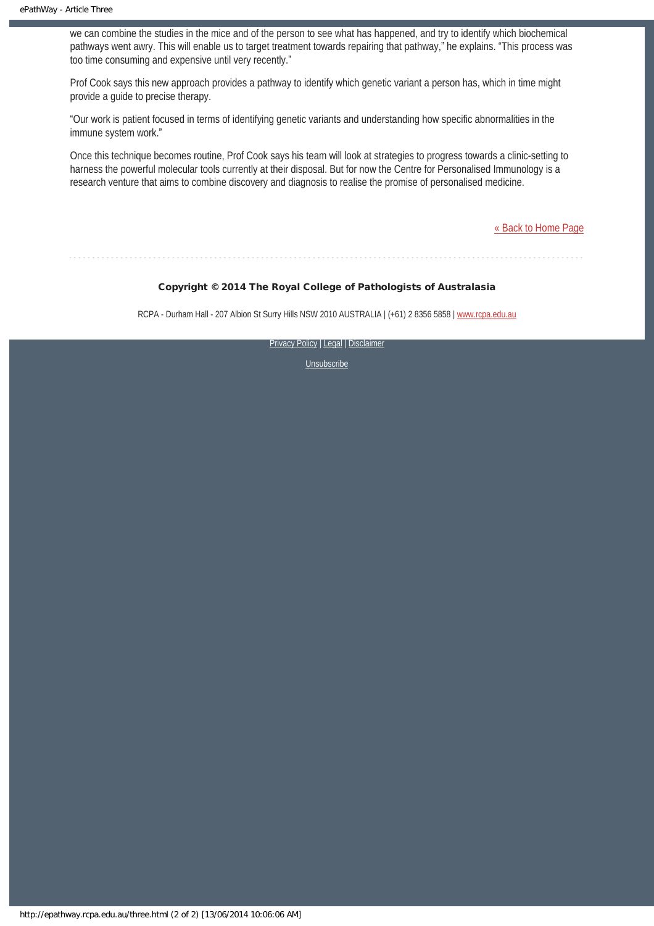we can combine the studies in the mice and of the person to see what has happened, and try to identify which biochemical pathways went awry. This will enable us to target treatment towards repairing that pathway," he explains. "This process was too time consuming and expensive until very recently."

Prof Cook says this new approach provides a pathway to identify which genetic variant a person has, which in time might provide a guide to precise therapy.

"Our work is patient focused in terms of identifying genetic variants and understanding how specific abnormalities in the immune system work."

Once this technique becomes routine, Prof Cook says his team will look at strategies to progress towards a clinic-setting to harness the powerful molecular tools currently at their disposal. But for now the Centre for Personalised Immunology is a research venture that aims to combine discovery and diagnosis to realise the promise of personalised medicine.

[« Back to Home Page](http://epathway.rcpa.edu.au/index.html)

#### Copyright © 2014 The Royal College of Pathologists of Australasia

RCPA - Durham Hall - 207 Albion St Surry Hills NSW 2010 AUSTRALIA | (+61) 2 8356 5858 | [www.rcpa.edu.au](http://www.rcpa.edu.au/)

[Privacy Policy](http://www.rcpa.edu.au/Content-Library/Privacy.aspx) | [Legal](http://www.rcpa.edu.au/Legal.aspx) | Disclaimer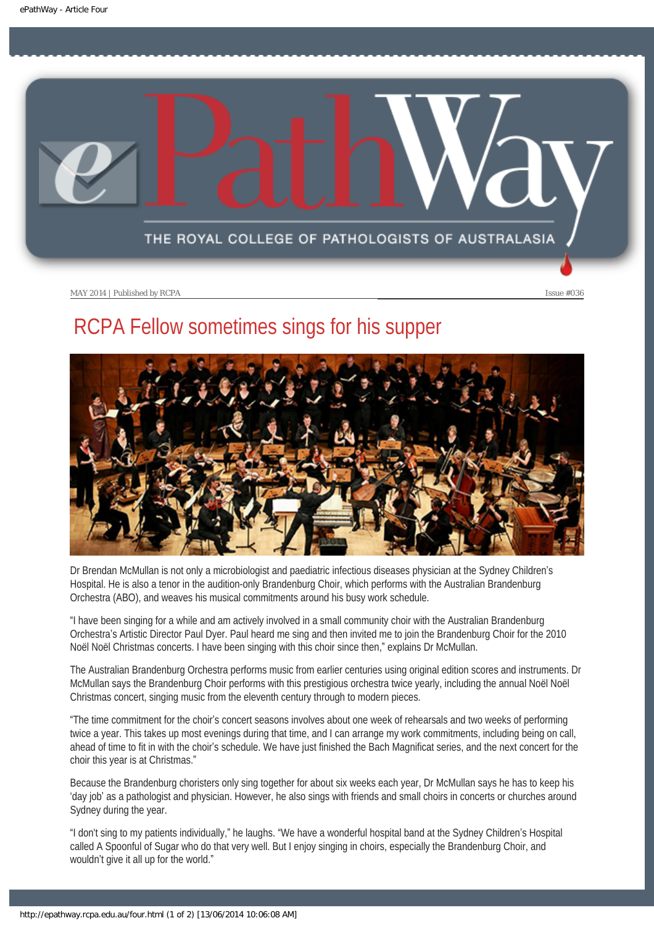<span id="page-12-0"></span>

# RCPA Fellow sometimes sings for his supper



Dr Brendan McMullan is not only a microbiologist and paediatric infectious diseases physician at the Sydney Children's Hospital. He is also a tenor in the audition-only Brandenburg Choir, which performs with the Australian Brandenburg Orchestra (ABO), and weaves his musical commitments around his busy work schedule.

"I have been singing for a while and am actively involved in a small community choir with the Australian Brandenburg Orchestra's Artistic Director Paul Dyer. Paul heard me sing and then invited me to join the Brandenburg Choir for the 2010 Noël Noël Christmas concerts. I have been singing with this choir since then," explains Dr McMullan.

The Australian Brandenburg Orchestra performs music from earlier centuries using original edition scores and instruments. Dr McMullan says the Brandenburg Choir performs with this prestigious orchestra twice yearly, including the annual Noël Noël Christmas concert, singing music from the eleventh century through to modern pieces.

"The time commitment for the choir's concert seasons involves about one week of rehearsals and two weeks of performing twice a year. This takes up most evenings during that time, and I can arrange my work commitments, including being on call, ahead of time to fit in with the choir's schedule. We have just finished the Bach Magnificat series, and the next concert for the choir this year is at Christmas."

Because the Brandenburg choristers only sing together for about six weeks each year, Dr McMullan says he has to keep his 'day job' as a pathologist and physician. However, he also sings with friends and small choirs in concerts or churches around Sydney during the year.

"I don't sing to my patients individually," he laughs. "We have a wonderful hospital band at the Sydney Children's Hospital called A Spoonful of Sugar who do that very well. But I enjoy singing in choirs, especially the Brandenburg Choir, and wouldn't give it all up for the world."